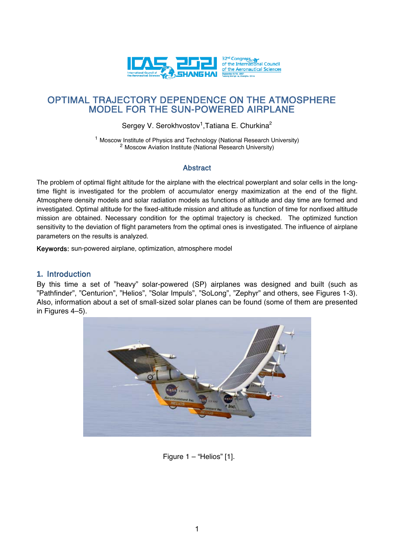

# OPTIMAL TRAJECTORY DEPENDENCE ON THE ATMOSPHERE MODEL FOR THE SUN-POWERED AIRPLANE

Sergey V. Serokhvostov<sup>1</sup>, Tatiana E. Churkina<sup>2</sup>

<sup>1</sup> Moscow Institute of Physics and Technology (National Research University) <sup>2</sup> Moscow Aviation Institute (National Research University)

# Abstract

The problem of optimal flight altitude for the airplane with the electrical powerplant and solar cells in the longtime flight is investigated for the problem of accumulator energy maximization at the end of the flight. Atmosphere density models and solar radiation models as functions of altitude and day time are formed and investigated. Optimal altitude for the fixed-altitude mission and altitude as function of time for nonfixed altitude mission are obtained. Necessary condition for the optimal trajectory is checked. The optimized function sensitivity to the deviation of flight parameters from the optimal ones is investigated. The influence of airplane parameters on the results is analyzed.

Keywords: sun-powered airplane, optimization, atmosphere model

# **1.** Introduction

By this time a set of "heavy" solar-powered (SP) airplanes was designed and built (such as "Pathfinder", "Centurion", "Helios", "Solar Impuls", "SoLong", "Zephyr" and others, see Figures 1-3). Also, information about a set of small-sized solar planes can be found (some of them are presented in Figures 4–5).



Figure  $1 -$  "Helios" [1].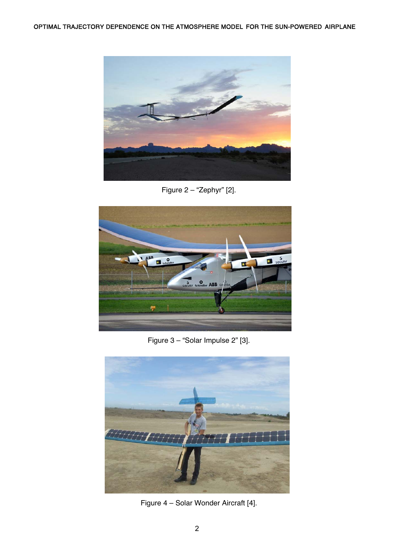

Figure 2 – "Zephyr" [2].



Figure 3 – "Solar Impulse 2" [3].



Figure 4 – Solar Wonder Aircraft [4].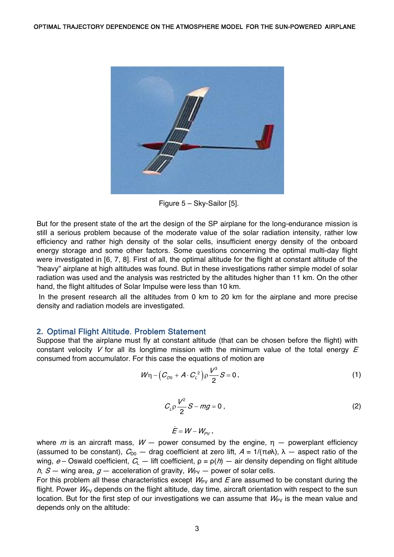

Figure 5 – Sky-Sailor [5].

But for the present state of the art the design of the SP airplane for the long-endurance mission is still a serious problem because of the moderate value of the solar radiation intensity, rather low efficiency and rather high density of the solar cells, insufficient energy density of the onboard energy storage and some other factors. Some questions concerning the optimal multi-day flight were investigated in [6, 7, 8]. First of all, the optimal altitude for the flight at constant altitude of the "heavy" airplane at high altitudes was found. But in these investigations rather simple model of solar radiation was used and the analysis was restricted by the altitudes higher than 11 km. On the other hand, the flight altitudes of Solar Impulse were less than 10 km.

 In the present research all the altitudes from 0 km to 20 km for the airplane and more precise density and radiation models are investigated.

### **2.** Optimal Flight Altitude. Problem Statement

Suppose that the airplane must fly at constant altitude (that can be chosen before the flight) with constant velocity V for all its longtime mission with the minimum value of the total energy  $E$ consumed from accumulator. For this case the equations of motion are

$$
W\eta - \left(C_{D0} + A \cdot C_{L}^{2}\right) \rho \frac{V^{3}}{2} S = 0, \qquad (1)
$$

$$
C_{\mathcal{L}} \rho \frac{V^2}{2} S - mg = 0 \,, \tag{2}
$$

$$
\dot{E} = W - W_{\rho_V},
$$

where m is an aircraft mass,  $W -$  power consumed by the engine,  $\eta -$  powerplant efficiency (assumed to be constant),  $C_{D0}$  – drag coefficient at zero lift,  $A = 1/(\pi e\lambda)$ ,  $\lambda$  – aspect ratio of the wing,  $e$  – Oswald coefficient,  $C_{\perp}$  – lift coefficient,  $\rho = \rho(h)$  – air density depending on flight altitude h, S – wing area,  $g$  – acceleration of gravity,  $W_{PV}$  – power of solar cells.

For this problem all these characteristics except  $W_{PV}$  and E are assumed to be constant during the flight. Power  $W_{PV}$  depends on the flight altitude, day time, aircraft orientation with respect to the sun location. But for the first step of our investigations we can assume that  $W_{PV}$  is the mean value and depends only on the altitude: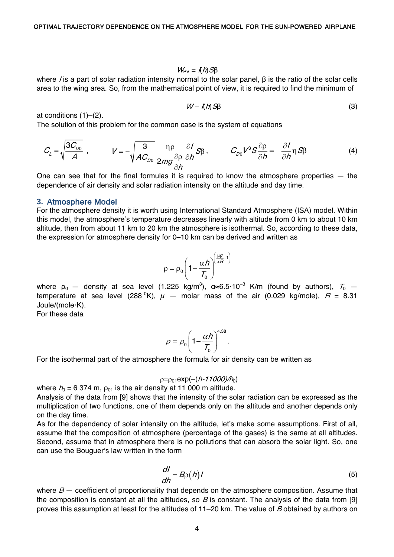$$
W_{\rm PV} = I(h)S\beta
$$

where *I* is a part of solar radiation intensity normal to the solar panel, β is the ratio of the solar cells area to the wing area. So, from the mathematical point of view, it is required to find the minimum of

$$
W - I(h)S\beta \tag{3}
$$

at conditions (1)–(2).

The solution of this problem for the common case is the system of equations

$$
C_{L} = \sqrt{\frac{3C_{D0}}{A}} , \qquad V = -\sqrt{\frac{3}{AC_{D0}}} \frac{\eta \rho}{2mg \frac{\partial \rho}{\partial h}} \frac{\partial I}{\partial h} S_{\beta} , \qquad C_{D0} V^{3} S \frac{\partial \rho}{\partial h} = -\frac{\partial I}{\partial h} \eta S_{\beta} \qquad (4)
$$

One can see that for the final formulas it is required to know the atmosphere properties — the dependence of air density and solar radiation intensity on the altitude and day time.

#### **3.** Atmosphere Model

For the atmosphere density it is worth using International Standard Atmosphere (ISA) model. Within this model, the atmosphere's temperature decreases linearly with altitude from 0 km to about 10 km altitude, then from about 11 km to 20 km the atmosphere is isothermal. So, according to these data, the expression for atmosphere density for 0–10 km can be derived and written as

$$
\rho = \rho_0 \left( 1 - \frac{\alpha h}{T_0} \right)^{\left( \frac{\mu g}{\alpha H} - 1 \right)}
$$

where  $\rho_0$  — density at sea level (1.225 kg/m<sup>3</sup>), α≈6.5·10<sup>-3</sup> K/m (found by authors),  $\mathcal{T}_0$  temperature at sea level (288  $^0$ K),  $\mu$   $-$  molar mass of the air (0.029 kg/mole),  $R$  = 8.31 Joule/(mole·K).

For these data

$$
\rho = \rho_0 \left(1 - \frac{\alpha h}{T_0}\right)^{4.38}.
$$

For the isothermal part of the atmosphere the formula for air density can be written as

$$
p = p_{01} \exp(-(h \cdot 11000)/h_0)
$$

where  $h_0 = 6374$  m,  $\rho_{01}$  is the air density at 11 000 m altitude.

Analysis of the data from [9] shows that the intensity of the solar radiation can be expressed as the multiplication of two functions, one of them depends only on the altitude and another depends only on the day time.

As for the dependency of solar intensity on the altitude, let's make some assumptions. First of all, assume that the composition of atmosphere (percentage of the gases) is the same at all altitudes. Second, assume that in atmosphere there is no pollutions that can absorb the solar light. So, one can use the Bouguer's law written in the form

$$
\frac{dl}{dh} = B\rho(h)I
$$
 (5)

where  $B -$  coefficient of proportionality that depends on the atmosphere composition. Assume that the composition is constant at all the altitudes, so  $B$  is constant. The analysis of the data from [9] proves this assumption at least for the altitudes of 11–20 km. The value of B obtained by authors on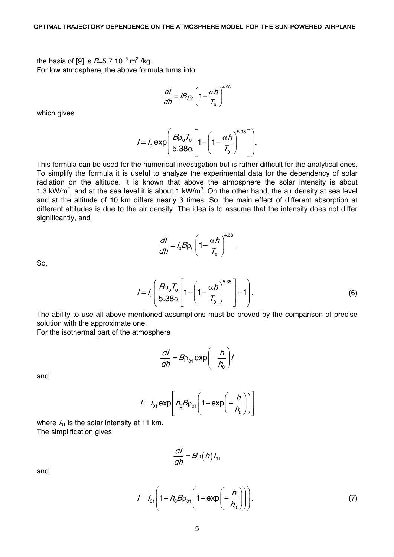the basis of [9] is *B*=5.7 10<sup>-5</sup> m<sup>2</sup> /kg. For low atmosphere, the above formula turns into

$$
\frac{dI}{dh} = IB\rho_0 \left(1 - \frac{\alpha h}{T_0}\right)^{4.38}
$$

which gives

$$
I = I_0 \exp\left(\frac{B\rho_0 T_0}{5.38\alpha} \left[1 - \left(1 - \frac{\alpha h}{T_0}\right)^{5.38}\right]\right).
$$

This formula can be used for the numerical investigation but is rather difficult for the analytical ones. To simplify the formula it is useful to analyze the experimental data for the dependency of solar radiation on the altitude. It is known that above the atmosphere the solar intensity is about 1.3 kW/m<sup>2</sup>, and at the sea level it is about 1 kW/m<sup>2</sup>. On the other hand, the air density at sea level and at the altitude of 10 km differs nearly 3 times. So, the main effect of different absorption at different altitudes is due to the air density. The idea is to assume that the intensity does not differ significantly, and

$$
\frac{dI}{dh} = I_0 B \rho_0 \left(1 - \frac{\alpha h}{T_0}\right)^{4.38}.
$$

So,

$$
I = I_0 \left( \frac{B \rho_0 T_0}{5.38 \alpha} \left[ 1 - \left( 1 - \frac{\alpha h}{T_0} \right)^{5.38} \right] + 1 \right). \tag{6}
$$

The ability to use all above mentioned assumptions must be proved by the comparison of precise solution with the approximate one.

For the isothermal part of the atmosphere

$$
\frac{dl}{dh} = B\rho_{01} \exp\left(-\frac{h}{h_0}\right)l
$$

and

$$
I = I_{01} \exp\left[ h_0 B \rho_{01} \left( 1 - \exp\left( -\frac{h}{h_0} \right) \right) \right]
$$

where  $I_{01}$  is the solar intensity at 11 km. The simplification gives

$$
\frac{dl}{dh}=B_{\rm p}(h)l_{\rm o1}
$$

and

$$
I = I_{01} \left( 1 + h_0 B \rho_{01} \left( 1 - \exp\left( -\frac{h}{h_0} \right) \right) \right).
$$
 (7)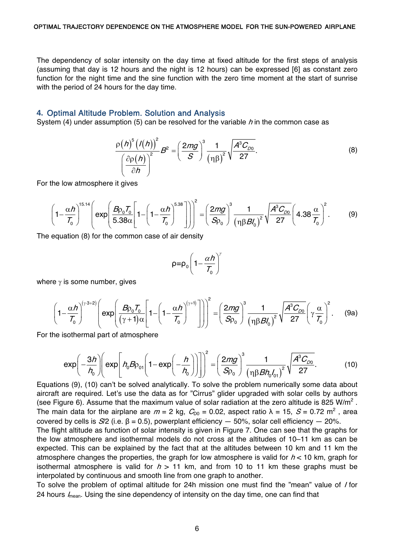The dependency of solar intensity on the day time at fixed altitude for the first steps of analysis (assuming that day is 12 hours and the night is 12 hours) can be expressed [6] as constant zero function for the night time and the sine function with the zero time moment at the start of sunrise with the period of 24 hours for the day time.

# **4.** Optimal Altitude Problem. Solution and Analysis

System (4) under assumption (5) can be resolved for the variable h in the common case as

$$
\frac{\rho(h)^{5}(\prime(h))^{2}}{\left(\frac{\partial \rho(h)}{\partial h}\right)^{2}}B^{2} = \left(\frac{2mg}{S}\right)^{3}\frac{1}{\left(\eta\beta\right)^{2}}\sqrt{\frac{A^{3}C_{D0}}{27}}.
$$
\n(8)

For the low atmosphere it gives

$$
\left(1-\frac{\alpha h}{\mathcal{T}_0}\right)^{15.14} \left(\exp\left(\frac{B\rho_0\mathcal{T}_0}{5.38\alpha}\left[1-\left(1-\frac{\alpha h}{\mathcal{T}_0}\right)^{5.38}\right]\right)\right)^2 = \left(\frac{2mg}{S\rho_0}\right)^3 \frac{1}{\left(\eta\beta B_0'\right)^2} \sqrt{\frac{A^3\mathcal{C}_{D0}}{27}} \left(4.38\frac{\alpha}{\mathcal{T}_0}\right)^2. \tag{9}
$$

The equation (8) for the common case of air density

$$
\rho = \rho_0 \left(1 - \frac{\alpha h}{T_0}\right)^{\gamma}
$$

where  $\gamma$  is some number, gives

$$
\left(1-\frac{\alpha h}{\mathcal{T}_0}\right)^{(\gamma\cdot 3+2)} \left(\exp\left(\frac{B\rho_0\mathcal{T}_0}{(\gamma+1)\alpha}\left[1-\left(1-\frac{\alpha h}{\mathcal{T}_0}\right)^{(\gamma+1)}\right]\right)\right)^2 = \left(\frac{2mg}{S\rho_0}\right)^3 \frac{1}{\left(\eta\beta B_0'\right)^2} \sqrt{\frac{A^3\mathcal{C}_{D0}}{27}} \left(\gamma \frac{\alpha}{\mathcal{T}_0}\right)^2.
$$
 (9a)

For the isothermal part of atmosphere

$$
\exp\left(-\frac{3h}{h_0}\right)\left(\exp\left[h_0B\rho_{01}\left(1-\exp\left(-\frac{h}{h_0}\right)\right)\right]\right)^2 = \left(\frac{2mg}{S\rho_0}\right)^3\frac{1}{\left(\eta\beta Bh_0l_{01}\right)^2}\sqrt{\frac{A^3C_{D0}}{27}}.\tag{10}
$$

Equations (9), (10) can't be solved analytically. To solve the problem numerically some data about aircraft are required. Let's use the data as for "Cirrus" glider upgraded with solar cells by authors (see Figure 6). Assume that the maximum value of solar radiation at the zero altitude is 825 W/m<sup>2</sup>. The main data for the airplane are  $m = 2$  kg,  $C_{D0} = 0.02$ , aspect ratio  $\lambda = 15$ ,  $S = 0.72$  m<sup>2</sup>, area covered by cells is S/2 (i.e. β = 0.5), powerplant efficiency  $-50%$ , solar cell efficiency  $-20%$ .

The flight altitude as function of solar intensity is given in Figure 7. One can see that the graphs for the low atmosphere and isothermal models do not cross at the altitudes of 10–11 km as can be expected. This can be explained by the fact that at the altitudes between 10 km and 11 km the atmosphere changes the properties, the graph for low atmosphere is valid for  $h < 10$  km, graph for isothermal atmosphere is valid for  $h > 11$  km, and from 10 to 11 km these graphs must be interpolated by continuous and smooth line from one graph to another.

To solve the problem of optimal altitude for 24h mission one must find the "mean" value of I for 24 hours  $I_{\text{mean}}$ . Using the sine dependency of intensity on the day time, one can find that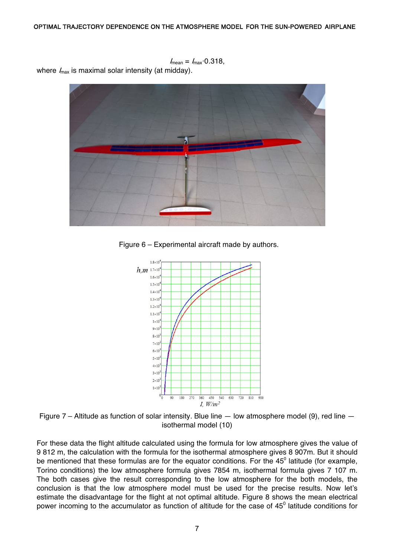$I_{\text{mean}} = I_{\text{max}} \cdot 0.318$ 

where  $I_{\text{max}}$  is maximal solar intensity (at midday).



Figure 6 – Experimental aircraft made by authors.



Figure 7 – Altitude as function of solar intensity. Blue line  $-$  low atmosphere model (9), red line  $$ isothermal model (10)

For these data the flight altitude calculated using the formula for low atmosphere gives the value of 9 812 m, the calculation with the formula for the isothermal atmosphere gives 8 907m. But it should be mentioned that these formulas are for the equator conditions. For the  $45^{\circ}$  latitude (for example, Torino conditions) the low atmosphere formula gives 7854 m, isothermal formula gives 7 107 m. The both cases give the result corresponding to the low atmosphere for the both models, the conclusion is that the low atmosphere model must be used for the precise results. Now let's estimate the disadvantage for the flight at not optimal altitude. Figure 8 shows the mean electrical power incoming to the accumulator as function of altitude for the case of  $45^{\circ}$  latitude conditions for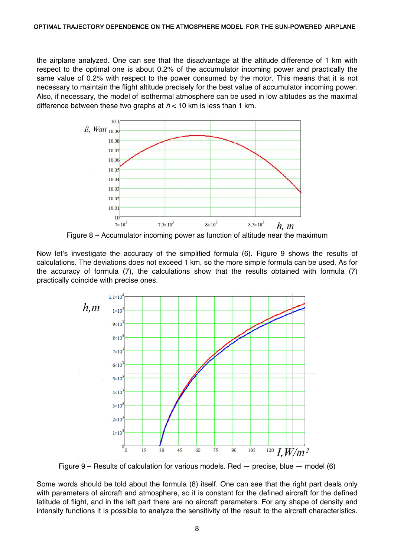the airplane analyzed. One can see that the disadvantage at the altitude difference of 1 km with respect to the optimal one is about 0.2% of the accumulator incoming power and practically the same value of 0.2% with respect to the power consumed by the motor. This means that it is not necessary to maintain the flight altitude precisely for the best value of accumulator incoming power. Also, if necessary, the model of isothermal atmosphere can be used in low altitudes as the maximal difference between these two graphs at  $h < 10$  km is less than 1 km.



Figure 8 – Accumulator incoming power as function of altitude near the maximum

Now let's investigate the accuracy of the simplified formula (6). Figure 9 shows the results of calculations. The deviations does not exceed 1 km, so the more simple formula can be used. As for the accuracy of formula (7), the calculations show that the results obtained with formula (7) practically coincide with precise ones.



Figure  $9$  – Results of calculation for various models. Red – precise, blue – model (6)

Some words should be told about the formula (8) itself. One can see that the right part deals only with parameters of aircraft and atmosphere, so it is constant for the defined aircraft for the defined latitude of flight, and in the left part there are no aircraft parameters. For any shape of density and intensity functions it is possible to analyze the sensitivity of the result to the aircraft characteristics.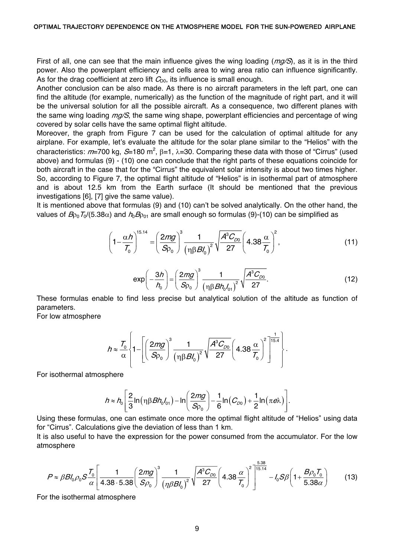First of all, one can see that the main influence gives the wing loading  $(mg/S)$ , as it is in the third power. Also the powerplant efficiency and cells area to wing area ratio can influence significantly. As for the drag coefficient at zero lift  $C_{00}$ , its influence is small enough.

Another conclusion can be also made. As there is no aircraft parameters in the left part, one can find the altitude (for example, numerically) as the function of the magnitude of right part, and it will be the universal solution for all the possible aircraft. As a consequence, two different planes with the same wing loading  $mq/S$ , the same wing shape, powerplant efficiencies and percentage of wing covered by solar cells have the same optimal flight altitude.

Moreover, the graph from Figure 7 can be used for the calculation of optimal altitude for any airplane. For example, let's evaluate the altitude for the solar plane similar to the "Helios" with the characteristics:  $m=700$  kg, S=180 m<sup>2</sup>,  $\beta=1$ ,  $\lambda=30$ . Comparing these data with those of "Cirrus" (used above) and formulas (9) - (10) one can conclude that the right parts of these equations coincide for both aircraft in the case that for the "Cirrus" the equivalent solar intensity is about two times higher. So, according to Figure 7, the optimal flight altitude of "Helios" is in isothermal part of atmosphere and is about 12.5 km from the Earth surface (It should be mentioned that the previous investigations [6], [7] give the same value).

It is mentioned above that formulas (9) and (10) can't be solved analytically. On the other hand, the values of  $B_{00}T_0/(5.38\alpha)$  and  $h_0B_{001}$  are small enough so formulas (9)-(10) can be simplified as

$$
\left(1 - \frac{\alpha h}{T_0}\right)^{15.14} = \left(\frac{2mg}{S_{\rho_0}}\right)^3 \frac{1}{\left(\eta \beta B_0'\right)^2} \sqrt{\frac{A^3 C_{D0}}{27}} \left(4.38 \frac{\alpha}{T_0}\right)^2,\tag{11}
$$

$$
\exp\left(-\frac{3h}{h_0}\right) = \left(\frac{2mg}{S\rho_0}\right)^3 \frac{1}{\left(\eta \beta B h_0 l_{01}\right)^2} \sqrt{\frac{A^3 C_{D0}}{27}}.
$$
 (12)

These formulas enable to find less precise but analytical solution of the altitude as function of parameters.

For low atmosphere

$$
h \approx \frac{T_0}{\alpha} \left\{ 1 - \left[ \left( \frac{2mg}{S\rho_0} \right)^3 \frac{1}{\left( \eta \beta B I_0 \right)^2} \sqrt{\frac{A^3 C_{D0}}{27}} \left( 4.38 \frac{\alpha}{T_0} \right)^2 \right]^{1.5.4} \right\}.
$$

For isothermal atmosphere

$$
h \approx h_0 \left[ \frac{2}{3} \ln \left( \eta \beta B h_0 I_{01} \right) - \ln \left( \frac{2mg}{S\rho_0} \right) - \frac{1}{6} \ln \left( C_{D0} \right) + \frac{1}{2} \ln \left( \pi e \lambda \right) \right].
$$

Using these formulas, one can estimate once more the optimal flight altitude of "Helios" using data for "Cirrus". Calculations give the deviation of less than 1 km.

It is also useful to have the expression for the power consumed from the accumulator. For the low atmosphere

$$
P \approx \beta B l_0 \rho_0 S \frac{T_0}{\alpha} \left[ \frac{1}{4.38 \cdot 5.38} \left( \frac{2mg}{S \rho_0} \right)^3 \frac{1}{\left( \eta \beta B l_0 \right)^2} \sqrt{\frac{A^3 C_{D0}}{27}} \left( 4.38 \frac{\alpha}{T_0} \right)^2 \right]^{5.38} - l_0 S \beta \left( 1 + \frac{B \rho_0 T_0}{5.38 \alpha} \right) \tag{13}
$$

For the isothermal atmosphere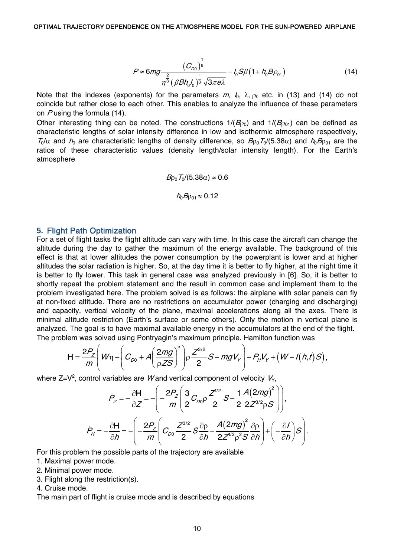$$
P \approx 6mg \frac{(C_{D0})^{\frac{1}{6}}}{\eta^{\frac{2}{3}}(\beta B h_0 l_0)^{\frac{1}{3}}\sqrt{3\pi e\lambda}} - l_0 S\beta (1 + h_0 B \rho_{01})
$$
(14)

Note that the indexes (exponents) for the parameters  $m, l_0, \lambda, \rho_0$  etc. in (13) and (14) do not coincide but rather close to each other. This enables to analyze the influence of these parameters on Pusing the formula (14).

Other interesting thing can be noted. The constructions  $1/(B_{00})$  and  $1/(B_{001})$  can be defined as characteristic lengths of solar intensity difference in low and isothermic atmosphere respectively,  $T_0/\alpha$  and  $h_0$  are characteristic lengths of density difference, so  $B_{00}T_0/(5.38\alpha)$  and  $h_0B_{001}$  are the ratios of these characteristic values (density length/solar intensity length). For the Earth's atmosphere

$$
Bp_0 T_0/(5.38\alpha) \approx 0.6
$$

$$
h_0 B\rho_{01} \approx 0.12
$$

#### **5.** Flight Path Optimization

For a set of flight tasks the flight altitude can vary with time. In this case the aircraft can change the altitude during the day to gather the maximum of the energy available. The background of this effect is that at lower altitudes the power consumption by the powerplant is lower and at higher altitudes the solar radiation is higher. So, at the day time it is better to fly higher, at the night time it is better to fly lower. This task in general case was analyzed previously in [6]. So, it is better to shortly repeat the problem statement and the result in common case and implement them to the problem investigated here. The problem solved is as follows: the airplane with solar panels can fly at non-fixed altitude. There are no restrictions on accumulator power (charging and discharging) and capacity, vertical velocity of the plane, maximal accelerations along all the axes. There is minimal altitude restriction (Earth's surface or some others). Only the motion in vertical plane is analyzed. The goal is to have maximal available energy in the accumulators at the end of the flight. The problem was solved using Pontryagin's maximum principle. Hamilton function was

$$
\mathsf{H}=\frac{2P_Z}{m}\left(W\eta-\left(C_{D0}+A\left(\frac{2mg}{\rho ZS}\right)^2\right)\rho\frac{Z^{3/2}}{2}S-mgV_y\right)+P_HV_y+\left(W-I(h,t)S\right),
$$

where Z=V<sup>2</sup>, control variables are W and vertical component of velocity  $V_{\gamma}$ ,

$$
\dot{P}_z = -\frac{\partial \mathbf{H}}{\partial z} = -\left(-\frac{2P_z}{m}\left(\frac{3}{2}C_{D0}\rho\frac{Z^{1/2}}{2}S - \frac{1}{2}\frac{A(2mg)^2}{2Z^{3/2}\rho S}\right)\right),
$$
\n
$$
\dot{P}_H = -\frac{\partial \mathbf{H}}{\partial h} = -\left(-\frac{2P_z}{m}\left(C_{D0}\frac{Z^{3/2}}{2}S\frac{\partial \rho}{\partial h} - \frac{A(2mg)^2}{2Z^{1/2}\rho^2S}\frac{\partial \rho}{\partial h}\right) + \left(-\frac{\partial I}{\partial h}\right)S\right).
$$

For this problem the possible parts of the trajectory are available

- 1. Maximal power mode.
- 2. Minimal power mode.
- 3. Flight along the restriction(s).
- 4. Cruise mode.

The main part of flight is cruise mode and is described by equations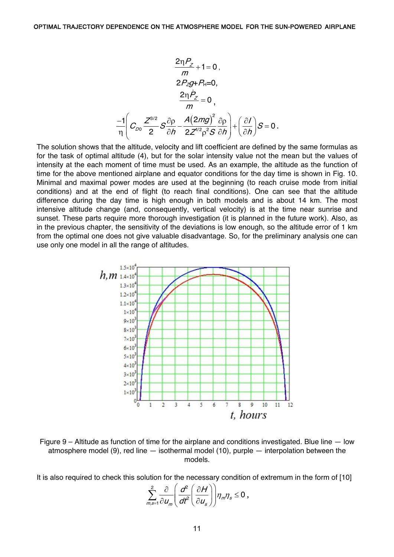$$
\frac{2\eta P_Z}{m} + 1 = 0,
$$
\n
$$
2P_Zg + P_H = 0,
$$
\n
$$
\frac{2\eta P_Z}{m} = 0,
$$
\n
$$
\frac{-1}{\eta} \left( C_{D0} \frac{Z^{3/2}}{2} S \frac{\partial \rho}{\partial h} - \frac{A(2mg)^2}{2Z^{1/2} \rho^2 S} \frac{\partial \rho}{\partial h} \right) + \left( \frac{\partial I}{\partial h} \right) S = 0.
$$

The solution shows that the altitude, velocity and lift coefficient are defined by the same formulas as for the task of optimal altitude (4), but for the solar intensity value not the mean but the values of intensity at the each moment of time must be used. As an example, the altitude as the function of time for the above mentioned airplane and equator conditions for the day time is shown in Fig. 10. Minimal and maximal power modes are used at the beginning (to reach cruise mode from initial conditions) and at the end of flight (to reach final conditions). One can see that the altitude difference during the day time is high enough in both models and is about 14 km. The most intensive altitude change (and, consequently, vertical velocity) is at the time near sunrise and sunset. These parts require more thorough investigation (it is planned in the future work). Also, as in the previous chapter, the sensitivity of the deviations is low enough, so the altitude error of 1 km from the optimal one does not give valuable disadvantage. So, for the preliminary analysis one can use only one model in all the range of altitudes.



Figure 9 – Altitude as function of time for the airplane and conditions investigated. Blue line — low atmosphere model (9), red line — isothermal model (10), purple — interpolation between the models.

It is also required to check this solution for the necessary condition of extremum in the form of [10]

$$
\sum_{m,s=1}^2 \frac{\partial}{\partial u_m} \left( \frac{d^2}{dt^2} \left( \frac{\partial H}{\partial u_s} \right) \right) \eta_m \eta_s \le 0,
$$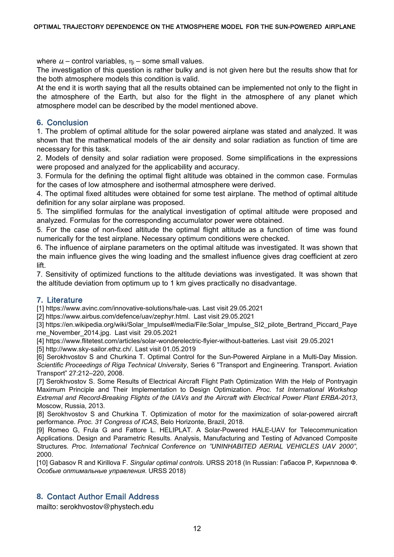where  $u_i$  – control variables,  $\eta_i$  – some small values.

The investigation of this question is rather bulky and is not given here but the results show that for the both atmosphere models this condition is valid.

At the end it is worth saying that all the results obtained can be implemented not only to the flight in the atmosphere of the Earth, but also for the flight in the atmosphere of any planet which atmosphere model can be described by the model mentioned above.

# **6.** Conclusion

1. The problem of optimal altitude for the solar powered airplane was stated and analyzed. It was shown that the mathematical models of the air density and solar radiation as function of time are necessary for this task.

2. Models of density and solar radiation were proposed. Some simplifications in the expressions were proposed and analyzed for the applicability and accuracy.

3. Formula for the defining the optimal flight altitude was obtained in the common case. Formulas for the cases of low atmosphere and isothermal atmosphere were derived.

4. The optimal fixed altitudes were obtained for some test airplane. The method of optimal altitude definition for any solar airplane was proposed.

5. The simplified formulas for the analytical investigation of optimal altitude were proposed and analyzed. Formulas for the corresponding accumulator power were obtained.

5. For the case of non-fixed altitude the optimal flight altitude as a function of time was found numerically for the test airplane. Necessary optimum conditions were checked.

6. The influence of airplane parameters on the optimal altitude was investigated. It was shown that the main influence gives the wing loading and the smallest influence gives drag coefficient at zero lift.

7. Sensitivity of optimized functions to the altitude deviations was investigated. It was shown that the altitude deviation from optimum up to 1 km gives practically no disadvantage.

# **7.** Literature

[1] https://www.avinc.com/innovative-solutions/hale-uas. Last visit 29.05.2021

[2] https://www.airbus.com/defence/uav/zephyr.html. Last visit 29.05.2021

[3] https://en.wikipedia.org/wiki/Solar\_Impulse#/media/File:Solar\_Impulse\_SI2\_pilote\_Bertrand\_Piccard\_Paye rne\_November\_2014.jpg. Last visit 29.05.2021

[4] https://www.flitetest.com/articles/solar-wonderelectric-flyier-without-batteries. Last visit 29.05.2021

[5] http://www.sky-sailor.ethz.ch/. Last visit 01.05.2019

[6] Serokhvostov S and Churkina T. Optimal Control for the Sun-Powered Airplane in a Multi-Day Mission. *Scientific Proceedings of Riga Technical University*, Series 6 "Transport and Engineering. Transport. Aviation Transport" 27:212–220, 2008.

[7] Serokhvostov S. Some Results of Electrical Aircraft Flight Path Optimization With the Help of Pontryagin Maximum Principle and Their Implementation to Design Optimization. *Proc. 1st International Workshop Extremal and Record-Breaking Flights of the UAVs and the Aircraft with Electrical Power Plant ERBA-2013*, Moscow, Russia, 2013.

[8] Serokhvostov S and Churkina T. Optimization of motor for the maximization of solar-powered aircraft performance. *Proc. 31 Congress of ICAS*, Belo Horizonte, Brazil, 2018.

[9] Romeo G, Frula G and Fattore L. HELIPLAT. A Solar-Powered HALE-UAV for Telecommunication Applications. Design and Parametric Results. Analysis, Manufacturing and Testing of Advanced Composite Structures. *Proc. International Technical Conference on "UNINHABITED AERIAL VEHICLES UAV 2000"*, 2000.

[10] Gabasov R and Kirillova F. *Singular optimal controls.* URSS 2018 (In Russian: Габасов Р, Кириллова Ф. *Особые оптимальные управления*. URSS 2018)

# **8.** Contact Author Email Address

mailto: serokhvostov@phystech.edu